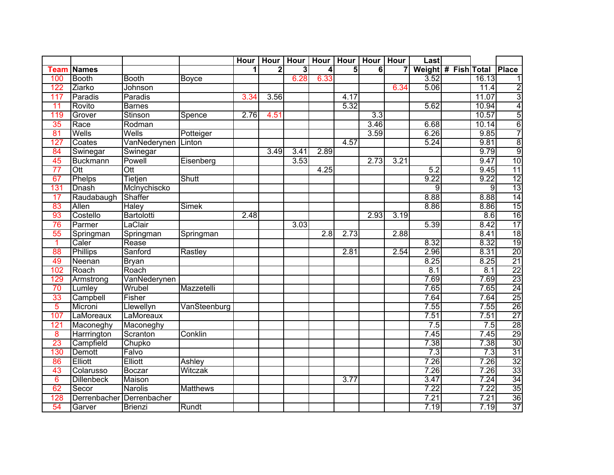|                 |                   |                |                 | <b>Hour</b>             |                         | Hour   Hour   Hour   Hour   Hour |      |                |                | <b>Hour</b>    | Last           |                     |       |                                               |
|-----------------|-------------------|----------------|-----------------|-------------------------|-------------------------|----------------------------------|------|----------------|----------------|----------------|----------------|---------------------|-------|-----------------------------------------------|
| <b>Team</b>     | <b>Names</b>      |                |                 | $\overline{\mathbf{1}}$ | $\overline{\mathbf{2}}$ | $\overline{3}$                   | 4    | $\overline{5}$ | $\overline{6}$ | $\overline{7}$ |                | Weight # Fish Total |       | <b>Place</b>                                  |
| 100             | <b>Booth</b>      | <b>Booth</b>   | Boyce           |                         |                         | 6.28                             | 6.33 |                |                |                | 3.52           |                     | 16.13 | $\overline{1}$                                |
| 122             | Ziarko            | <b>Johnson</b> |                 |                         |                         |                                  |      |                |                | 6.34           | 5.06           |                     | 11.4  | $\frac{2}{3}$                                 |
| 117             | Paradis           | Paradis        |                 | 3.34                    | 3.56                    |                                  |      | 4.17           |                |                |                |                     | 11.07 |                                               |
| 11              | Rovito            | <b>Barnes</b>  |                 |                         |                         |                                  |      | 5.32           |                |                | 5.62           |                     | 10.94 | $\overline{4}$                                |
| 119             | Grover            | Stinson        | Spence          | 2.76                    | 4.51                    |                                  |      |                | 3.3            |                |                |                     | 10.57 | $\overline{5}$                                |
| 35              | Race              | Rodman         |                 |                         |                         |                                  |      |                | 3.46           |                | 6.68           |                     | 10.14 | $6\overline{6}$                               |
| 81              | Wells             | Wells          | Potteiger       |                         |                         |                                  |      |                | 3.59           |                | 6.26           |                     | 9.85  | $\begin{array}{c} 7 \\ 8 \\ 9 \end{array}$    |
| 127             | Coates            | VanNederynen   | Linton          |                         |                         |                                  |      | 4.57           |                |                | 5.24           |                     | 9.81  |                                               |
| 84              | Swinegar          | Swinegar       |                 |                         | 3.49                    | 3.41                             | 2.89 |                |                |                |                |                     | 9.79  |                                               |
| 45              | <b>Buckmann</b>   | Powell         | Eisenberg       |                         |                         | 3.53                             |      |                | 2.73           | 3.21           |                |                     | 9.47  | 10                                            |
| 77              | Ott               | Ott            |                 |                         |                         |                                  | 4.25 |                |                |                | 5.2            |                     | 9.45  | $\overline{11}$                               |
| 67              | Phelps            | Tietjen        | Shutt           |                         |                         |                                  |      |                |                |                | 9.22           |                     | 9.22  | 12                                            |
| 131             | Dnash             | McInychiscko   |                 |                         |                         |                                  |      |                |                |                | $\overline{9}$ |                     | 9     | $\overline{13}$                               |
| 17              | Raudabaugh        | Shaffer        |                 |                         |                         |                                  |      |                |                |                | 8.88           |                     | 8.88  | 14                                            |
| 83              | Allen             | <b>Haley</b>   | <b>Simek</b>    |                         |                         |                                  |      |                |                |                | 8.86           |                     | 8.86  | 15                                            |
| 93              | Costello          | Bartolotti     |                 | 2.48                    |                         |                                  |      |                | 2.93           | 3.19           |                |                     | 8.6   | 16                                            |
| 76              | Parmer            | LaClair        |                 |                         |                         | 3.03                             |      |                |                |                | 5.39           |                     | 8.42  | 17                                            |
| 55              | Springman         | Springman      | Springman       |                         |                         |                                  | 2.8  | 2.73           |                | 2.88           |                |                     | 8.41  |                                               |
| 1               | Caler             | Rease          |                 |                         |                         |                                  |      |                |                |                | 8.32           |                     | 8.32  | $\frac{18}{19}$                               |
| 88              | <b>Phillips</b>   | Sanford        | Rastley         |                         |                         |                                  |      | 2.81           |                | 2.54           | 2.96           |                     | 8.31  | 20                                            |
| 49              | Neenan            | <b>Bryan</b>   |                 |                         |                         |                                  |      |                |                |                | 8.25           |                     | 8.25  | 21                                            |
| 102             | Roach             | Roach          |                 |                         |                         |                                  |      |                |                |                | 8.1            |                     | 8.1   | $\overline{22}$                               |
| 129             | Armstrong         | VanNederynen   |                 |                         |                         |                                  |      |                |                |                | 7.69           |                     | 7.69  | 23                                            |
| $\overline{70}$ | Lumley            | Wrubel         | Mazzetelli      |                         |                         |                                  |      |                |                |                | 7.65           |                     | 7.65  |                                               |
| 33              | Campbell          | Fisher         |                 |                         |                         |                                  |      |                |                |                | 7.64           |                     | 7.64  | $\frac{24}{25}$                               |
| 5               | Microni           | Llewellyn      | VanSteenburg    |                         |                         |                                  |      |                |                |                | 7.55           |                     | 7.55  | 26                                            |
| 107             | LaMoreaux         | LaMoreaux      |                 |                         |                         |                                  |      |                |                |                | 7.51           |                     | 7.51  |                                               |
| 121             | Maconeghy         | Maconeghy      |                 |                         |                         |                                  |      |                |                |                | 7.5            |                     | 7.5   | $\begin{array}{r} 27 \\ 28 \\ 29 \end{array}$ |
| 8               | Harrrington       | Scranton       | Conklin         |                         |                         |                                  |      |                |                |                | 7.45           |                     | 7.45  |                                               |
| 23              | Campfield         | Chupko         |                 |                         |                         |                                  |      |                |                |                | 7.38           |                     | 7.38  | 30                                            |
| 130             | <b>Demott</b>     | Falvo          |                 |                         |                         |                                  |      |                |                |                | 7.3            |                     | 7.3   | 31                                            |
| 86              | Elliott           | Elliott        | Ashley          |                         |                         |                                  |      |                |                |                | 7.26           |                     | 7.26  | 32                                            |
| 43              | Colarusso         | <b>Boczar</b>  | Witczak         |                         |                         |                                  |      |                |                |                | 7.26           |                     | 7.26  | 33                                            |
| $\overline{6}$  | <b>Dillenbeck</b> | Maison         |                 |                         |                         |                                  |      | 3.77           |                |                | 3.47           |                     | 7.24  |                                               |
| 62              | Secor             | <b>Narolis</b> | <b>Matthews</b> |                         |                         |                                  |      |                |                |                | 7.22           |                     | 7.22  | $\frac{34}{35}$                               |
| 128             | Derrenbacher      | Derrenbacher   |                 |                         |                         |                                  |      |                |                |                | 7.21           |                     | 7.21  | 36                                            |
| 54              | Garver            | <b>Brienzi</b> | Rundt           |                         |                         |                                  |      |                |                |                | 7.19           |                     | 7.19  | 37                                            |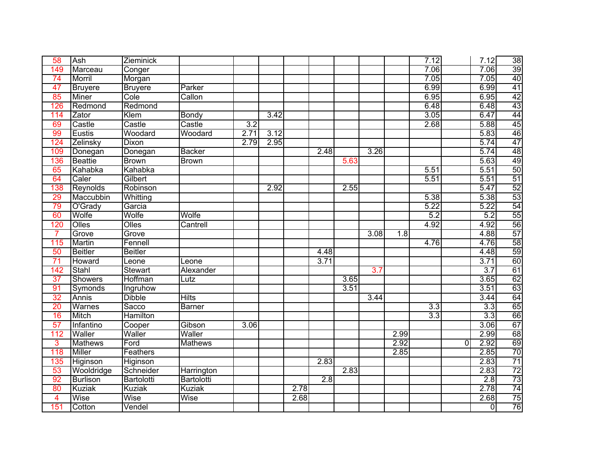| 58                      | Ash             | Zieminick         |                  |      |      |      |                  |      |      |                  | 7.12             |          | 7.12 | 38                                                                          |
|-------------------------|-----------------|-------------------|------------------|------|------|------|------------------|------|------|------------------|------------------|----------|------|-----------------------------------------------------------------------------|
| 149                     | Marceau         | Conger            |                  |      |      |      |                  |      |      |                  | 7.06             |          | 7.06 | 39                                                                          |
| 74                      | Morril          | Morgan            |                  |      |      |      |                  |      |      |                  | 7.05             |          | 7.05 |                                                                             |
| 47                      | <b>Bruyere</b>  | <b>Bruyere</b>    | Parker           |      |      |      |                  |      |      |                  | 6.99             |          | 6.99 | $\frac{40}{41}$                                                             |
| 85                      | <b>Miner</b>    | Cole              | Callon           |      |      |      |                  |      |      |                  | 6.95             |          | 6.95 | 42                                                                          |
| 126                     | Redmond         | Redmond           |                  |      |      |      |                  |      |      |                  | 6.48             |          | 6.48 | 43                                                                          |
| 114                     | Zator           | Klem              | <b>Bondy</b>     |      | 3.42 |      |                  |      |      |                  | 3.05             |          | 6.47 |                                                                             |
| 69                      | Castle          | Castle            | Castle           | 3.2  |      |      |                  |      |      |                  | 2.68             |          | 5.88 | $\frac{\overline{44}}{\overline{45}}$ $\frac{\overline{46}}{\overline{47}}$ |
| 99                      | Eustis          | Woodard           | Woodard          | 2.71 | 3.12 |      |                  |      |      |                  |                  |          | 5.83 |                                                                             |
| 124                     | Zelinsky        | Dixon             |                  | 2.79 | 2.95 |      |                  |      |      |                  |                  |          | 5.74 |                                                                             |
| 109                     | Donegan         | Donegan           | <b>Backer</b>    |      |      |      | 2.48             |      | 3.26 |                  |                  |          | 5.74 | 48                                                                          |
| 136                     | <b>Beattie</b>  | <b>Brown</b>      | <b>Brown</b>     |      |      |      |                  | 5.63 |      |                  |                  |          | 5.63 | 49                                                                          |
| 65                      | Kahabka         | Kahabka           |                  |      |      |      |                  |      |      |                  | 5.51             |          | 5.51 | 50                                                                          |
| 64                      | Caler           | Gilbert           |                  |      |      |      |                  |      |      |                  | 5.51             |          | 5.51 | 51                                                                          |
| 138                     | Reynolds        | Robinson          |                  |      | 2.92 |      |                  | 2.55 |      |                  |                  |          | 5.47 | 52                                                                          |
| 29                      | Maccubbin       | Whitting          |                  |      |      |      |                  |      |      |                  | 5.38             |          | 5.38 | $\overline{53}$                                                             |
| 79                      | O'Grady         | Garcia            |                  |      |      |      |                  |      |      |                  | 5.22             |          | 5.22 |                                                                             |
| 60                      | Wolfe           | Wolfe             | Wolfe            |      |      |      |                  |      |      |                  | 5.2              |          | 5.2  |                                                                             |
| 120                     | Olles           | Olles             | Cantrell         |      |      |      |                  |      |      |                  | 4.92             |          | 4.92 |                                                                             |
| 7                       | Grove           | Grove             |                  |      |      |      |                  |      | 3.08 | $\overline{1.8}$ |                  |          | 4.88 |                                                                             |
| 115                     | Martin          | Fennell           |                  |      |      |      |                  |      |      |                  | 4.76             |          | 4.76 |                                                                             |
| 50                      | <b>Beitler</b>  | <b>Beitler</b>    |                  |      |      |      | 4.48             |      |      |                  |                  |          | 4.48 | <u>ခုမြွမျှပျမှုမျှ မျာ</u>                                                 |
| 71                      | <b>Howard</b>   | Leone             | Leone            |      |      |      | 3.71             |      |      |                  |                  |          | 3.71 |                                                                             |
| 142                     | Stahl           | <b>Stewart</b>    | <b>Alexander</b> |      |      |      |                  |      | 3.7  |                  |                  |          | 3.7  | 61                                                                          |
| 37                      | <b>Showers</b>  | Hoffman           | Lutz             |      |      |      |                  | 3.65 |      |                  |                  |          | 3.65 |                                                                             |
| 91                      | Symonds         | Ingruhow          |                  |      |      |      |                  | 3.51 |      |                  |                  |          | 3.51 |                                                                             |
| 32                      | Annis           | <b>Dibble</b>     | <b>Hilts</b>     |      |      |      |                  |      | 3.44 |                  |                  |          | 3.44 | $\frac{62}{63}$                                                             |
| $\overline{20}$         | Warnes          | Sacco             | <b>Barner</b>    |      |      |      |                  |      |      |                  | $\overline{3.3}$ |          | 3.3  | 65                                                                          |
| 16                      | <b>Mitch</b>    | <b>Hamilton</b>   |                  |      |      |      |                  |      |      |                  | 3.3              |          | 3.3  |                                                                             |
| 57                      | Infantino       | Cooper            | Gibson           | 3.06 |      |      |                  |      |      |                  |                  |          | 3.06 | $\frac{66}{67}$                                                             |
| 112                     | Waller          | Waller            | Waller           |      |      |      |                  |      |      | 2.99             |                  |          | 2.99 | 68                                                                          |
| 3                       | <b>Mathews</b>  | Ford              | <b>Mathews</b>   |      |      |      |                  |      |      | 2.92             |                  | $\Omega$ | 2.92 | 69                                                                          |
| 118                     | <b>Miller</b>   | Feathers          |                  |      |      |      |                  |      |      | 2.85             |                  |          | 2.85 | 70                                                                          |
| 135                     | Higinson        | <b>Higinson</b>   |                  |      |      |      | 2.83             |      |      |                  |                  |          | 2.83 | 71                                                                          |
| 53                      | Wooldridge      | Schneider         | Harrington       |      |      |      |                  | 2.83 |      |                  |                  |          | 2.83 | 72                                                                          |
| 92                      | <b>Burlison</b> | <b>Bartolotti</b> | Bartolotti       |      |      |      | $\overline{2.8}$ |      |      |                  |                  |          | 2.8  | 73                                                                          |
| 80                      | <b>Kuziak</b>   | <b>Kuziak</b>     | <b>Kuziak</b>    |      |      | 2.78 |                  |      |      |                  |                  |          | 2.78 | 74                                                                          |
| $\overline{\mathbf{4}}$ | Wise            | Wise              | Wise             |      |      | 2.68 |                  |      |      |                  |                  |          | 2.68 |                                                                             |
| 151                     | Cotton          | Vendel            |                  |      |      |      |                  |      |      |                  |                  |          | Ō    | $\frac{75}{76}$                                                             |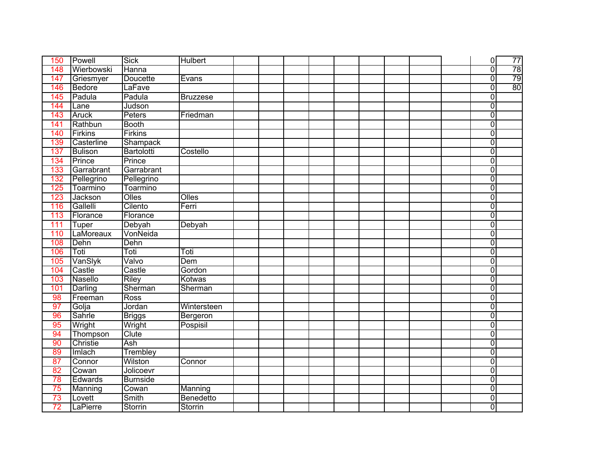| 150             | Powell         | <b>Sick</b>     | <b>Hulbert</b>  |  |  |  |  | $\overline{0}$          | 77 |
|-----------------|----------------|-----------------|-----------------|--|--|--|--|-------------------------|----|
| 148             | Wierbowski     | Hanna           |                 |  |  |  |  | $\overline{0}$          | 78 |
| 147             | Griesmyer      | <b>Doucette</b> | Evans           |  |  |  |  | $\overline{0}$          | 79 |
| 146             | Bedore         | LaFave          |                 |  |  |  |  | $\overline{0}$          | 80 |
| 145             | Padula         | Padula          | <b>Bruzzese</b> |  |  |  |  | $\overline{0}$          |    |
| 144             | Lane           | Judson          |                 |  |  |  |  | $\overline{0}$          |    |
| 143             | <b>Aruck</b>   | Peters          | Friedman        |  |  |  |  | $\overline{0}$          |    |
| 141             | Rathbun        | <b>Booth</b>    |                 |  |  |  |  | Ō                       |    |
| 140             | Firkins        | <b>Firkins</b>  |                 |  |  |  |  | Ō                       |    |
| 139             | Casterline     | <b>Shampack</b> |                 |  |  |  |  | $\overline{0}$          |    |
| 137             | <b>Bulison</b> | Bartolotti      | Costello        |  |  |  |  | $\overline{0}$          |    |
| 134             | Prince         | Prince          |                 |  |  |  |  | $\overline{0}$          |    |
| 133             | Garrabrant     | Garrabrant      |                 |  |  |  |  | $\overline{0}$          |    |
| 132             | Pellegrino     | Pellegrino      |                 |  |  |  |  | $\overline{0}$          |    |
| 125             | Toarmino       | Toarmino        |                 |  |  |  |  | $\overline{0}$          |    |
| 123             | Jackson        | Olles           | Olles           |  |  |  |  | $\overline{0}$          |    |
| 116             | Gallelli       | Cilento         | Ferri           |  |  |  |  | $\overline{0}$          |    |
| 113             | Florance       | Florance        |                 |  |  |  |  | $\overline{0}$          |    |
| 111             | Tuper          | Debyah          | Debyah          |  |  |  |  | $\overline{0}$          |    |
| 110             | LaMoreaux      | VonNeida        |                 |  |  |  |  | $\overline{0}$          |    |
| 108             | Dehn           | Dehn            |                 |  |  |  |  | $\overline{0}$          |    |
| 106             | Toti           | Toti            | Toti            |  |  |  |  | $\overline{\mathsf{o}}$ |    |
| 105             | VanSlyk        | Valvo           | Dem             |  |  |  |  | $\overline{0}$          |    |
| 104             | Castle         | Castle          | Gordon          |  |  |  |  | $\overline{0}$          |    |
| 103             | Nasello        | <b>Riley</b>    | Kotwas          |  |  |  |  | $\overline{0}$          |    |
| 101             | Darling        | Sherman         | Sherman         |  |  |  |  | $\overline{0}$          |    |
| 98              | Freeman        | <b>Ross</b>     |                 |  |  |  |  | $\overline{0}$          |    |
| 97              | Golja          | Jordan          | Wintersteen     |  |  |  |  | $\overline{\mathbf{0}}$ |    |
| 96              | Sahrle         | <b>Briggs</b>   | Bergeron        |  |  |  |  | $\overline{0}$          |    |
| 95              | Wright         | Wright          | Pospisil        |  |  |  |  | $\overline{0}$          |    |
| 94              | Thompson       | Clute           |                 |  |  |  |  | 0                       |    |
| 90              | Christie       | Ash             |                 |  |  |  |  | $\overline{0}$          |    |
| 89              | Imlach         | Trembley        |                 |  |  |  |  | $\overline{0}$          |    |
| 87              | Connor         | Wilston         | Connor          |  |  |  |  | $\overline{0}$          |    |
| 82              | Cowan          | Jolicoevr       |                 |  |  |  |  | $\overline{0}$          |    |
| 78              | Edwards        | <b>Burnside</b> |                 |  |  |  |  | $\overline{0}$          |    |
| 75              | Manning        | Cowan           | Manning         |  |  |  |  | $\overline{0}$          |    |
| 73              | Lovett         | Smith           | Benedetto       |  |  |  |  | $\overline{0}$          |    |
| $\overline{72}$ | LaPierre       | Storrin         | Storrin         |  |  |  |  | Ō                       |    |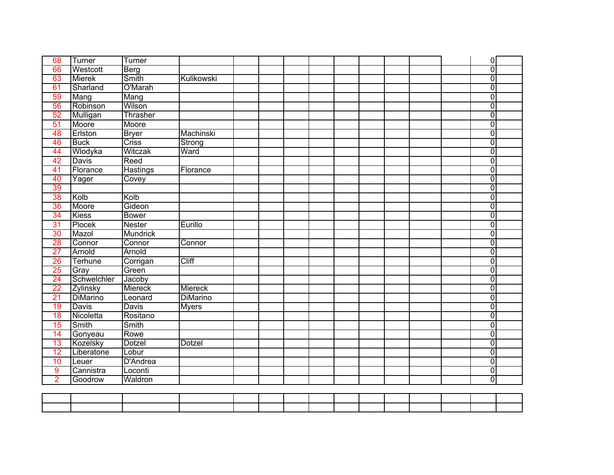| Ō<br>66<br>Westcott<br>$\overline{0}$<br>Smith<br>63<br><b>Mierek</b><br>Kulikowski<br>O'Marah<br>$\overline{0}$<br>Sharland<br>61<br>$\overline{0}$<br>59<br>Mang<br>Mang<br>$\overline{0}$<br>Robinson<br>Wilson<br>56<br>Ō<br>Thrasher<br>52<br>Mulligan<br>$\overline{0}$<br>Moore<br>51<br>Moore<br>$\overline{0}$<br>Erlston<br><b>Bryer</b><br>Machinski<br>48<br>$\overline{0}$<br><b>Criss</b><br>46<br><b>Buck</b><br>Strong<br>Wlodyka<br>Witczak<br>ō<br>44<br>Ward<br>$\overline{\mathbf{0}}$<br>42<br>Reed<br><b>Davis</b><br><b>Hastings</b><br>$\overline{0}$<br>41<br>Florance<br>Florance<br>$\overline{0}$<br>40<br>Covey<br>Yager<br>$\overline{0}$<br>39<br>$\overline{0}$<br>38<br>Kolb<br>Kolb<br>$\overline{0}$<br>Gideon<br>36<br>Moore<br>ō<br>34<br><b>Kiess</b><br><b>Bower</b><br>$\overline{0}$<br>31<br>Plocek<br><b>Nester</b><br>Eurillo<br>$\overline{0}$<br>Mazol<br><b>Mundrick</b><br>30<br>$\overline{0}$<br>Connor<br>28<br>Connor<br>Connor<br>$\overline{0}$<br>Arnold<br>Arnold<br>$\overline{27}$<br>$\overline{0}$<br>Cliff<br>26<br>Terhune<br>Corrigan<br>$\overline{0}$<br>25<br>Green<br>Gray<br>Schwelchler<br>$\overline{\mathbf{0}}$<br>24<br>Jacoby<br>$\overline{0}$<br>Miereck<br>Miereck<br>22<br>Zylinsky<br>$\overline{0}$<br>21<br><b>DiMarino</b><br><b>DiMarino</b><br>Leonard<br>$\overline{0}$<br>19<br><b>Davis</b><br><b>Davis</b><br><b>Myers</b><br>$\overline{0}$<br>18<br>Nicoletta<br>Rositano<br>$\overline{0}$<br>15<br>Smith<br>Smith<br>$\overline{0}$<br>14<br>Rowe<br>Gonyeau<br>$\overline{0}$<br>Kozelsky<br>13<br><b>Dotzel</b><br><b>Dotzel</b><br>$\overline{0}$<br>12<br>Liberatone<br>Lobur<br>ō<br><b>D'Andrea</b><br>10<br>Leuer<br>$\overline{0}$<br>9<br>Cannistra<br>Loconti<br>$\overline{0}$ | 68             | Turner  | Turner  |  |  |  |  |  | $\overline{0}$ |  |
|---------------------------------------------------------------------------------------------------------------------------------------------------------------------------------------------------------------------------------------------------------------------------------------------------------------------------------------------------------------------------------------------------------------------------------------------------------------------------------------------------------------------------------------------------------------------------------------------------------------------------------------------------------------------------------------------------------------------------------------------------------------------------------------------------------------------------------------------------------------------------------------------------------------------------------------------------------------------------------------------------------------------------------------------------------------------------------------------------------------------------------------------------------------------------------------------------------------------------------------------------------------------------------------------------------------------------------------------------------------------------------------------------------------------------------------------------------------------------------------------------------------------------------------------------------------------------------------------------------------------------------------------------------------------------------------------------------------------------------------------------------------------------------------|----------------|---------|---------|--|--|--|--|--|----------------|--|
|                                                                                                                                                                                                                                                                                                                                                                                                                                                                                                                                                                                                                                                                                                                                                                                                                                                                                                                                                                                                                                                                                                                                                                                                                                                                                                                                                                                                                                                                                                                                                                                                                                                                                                                                                                                       |                |         | Berg    |  |  |  |  |  |                |  |
|                                                                                                                                                                                                                                                                                                                                                                                                                                                                                                                                                                                                                                                                                                                                                                                                                                                                                                                                                                                                                                                                                                                                                                                                                                                                                                                                                                                                                                                                                                                                                                                                                                                                                                                                                                                       |                |         |         |  |  |  |  |  |                |  |
|                                                                                                                                                                                                                                                                                                                                                                                                                                                                                                                                                                                                                                                                                                                                                                                                                                                                                                                                                                                                                                                                                                                                                                                                                                                                                                                                                                                                                                                                                                                                                                                                                                                                                                                                                                                       |                |         |         |  |  |  |  |  |                |  |
|                                                                                                                                                                                                                                                                                                                                                                                                                                                                                                                                                                                                                                                                                                                                                                                                                                                                                                                                                                                                                                                                                                                                                                                                                                                                                                                                                                                                                                                                                                                                                                                                                                                                                                                                                                                       |                |         |         |  |  |  |  |  |                |  |
|                                                                                                                                                                                                                                                                                                                                                                                                                                                                                                                                                                                                                                                                                                                                                                                                                                                                                                                                                                                                                                                                                                                                                                                                                                                                                                                                                                                                                                                                                                                                                                                                                                                                                                                                                                                       |                |         |         |  |  |  |  |  |                |  |
|                                                                                                                                                                                                                                                                                                                                                                                                                                                                                                                                                                                                                                                                                                                                                                                                                                                                                                                                                                                                                                                                                                                                                                                                                                                                                                                                                                                                                                                                                                                                                                                                                                                                                                                                                                                       |                |         |         |  |  |  |  |  |                |  |
|                                                                                                                                                                                                                                                                                                                                                                                                                                                                                                                                                                                                                                                                                                                                                                                                                                                                                                                                                                                                                                                                                                                                                                                                                                                                                                                                                                                                                                                                                                                                                                                                                                                                                                                                                                                       |                |         |         |  |  |  |  |  |                |  |
|                                                                                                                                                                                                                                                                                                                                                                                                                                                                                                                                                                                                                                                                                                                                                                                                                                                                                                                                                                                                                                                                                                                                                                                                                                                                                                                                                                                                                                                                                                                                                                                                                                                                                                                                                                                       |                |         |         |  |  |  |  |  |                |  |
|                                                                                                                                                                                                                                                                                                                                                                                                                                                                                                                                                                                                                                                                                                                                                                                                                                                                                                                                                                                                                                                                                                                                                                                                                                                                                                                                                                                                                                                                                                                                                                                                                                                                                                                                                                                       |                |         |         |  |  |  |  |  |                |  |
|                                                                                                                                                                                                                                                                                                                                                                                                                                                                                                                                                                                                                                                                                                                                                                                                                                                                                                                                                                                                                                                                                                                                                                                                                                                                                                                                                                                                                                                                                                                                                                                                                                                                                                                                                                                       |                |         |         |  |  |  |  |  |                |  |
|                                                                                                                                                                                                                                                                                                                                                                                                                                                                                                                                                                                                                                                                                                                                                                                                                                                                                                                                                                                                                                                                                                                                                                                                                                                                                                                                                                                                                                                                                                                                                                                                                                                                                                                                                                                       |                |         |         |  |  |  |  |  |                |  |
|                                                                                                                                                                                                                                                                                                                                                                                                                                                                                                                                                                                                                                                                                                                                                                                                                                                                                                                                                                                                                                                                                                                                                                                                                                                                                                                                                                                                                                                                                                                                                                                                                                                                                                                                                                                       |                |         |         |  |  |  |  |  |                |  |
|                                                                                                                                                                                                                                                                                                                                                                                                                                                                                                                                                                                                                                                                                                                                                                                                                                                                                                                                                                                                                                                                                                                                                                                                                                                                                                                                                                                                                                                                                                                                                                                                                                                                                                                                                                                       |                |         |         |  |  |  |  |  |                |  |
|                                                                                                                                                                                                                                                                                                                                                                                                                                                                                                                                                                                                                                                                                                                                                                                                                                                                                                                                                                                                                                                                                                                                                                                                                                                                                                                                                                                                                                                                                                                                                                                                                                                                                                                                                                                       |                |         |         |  |  |  |  |  |                |  |
|                                                                                                                                                                                                                                                                                                                                                                                                                                                                                                                                                                                                                                                                                                                                                                                                                                                                                                                                                                                                                                                                                                                                                                                                                                                                                                                                                                                                                                                                                                                                                                                                                                                                                                                                                                                       |                |         |         |  |  |  |  |  |                |  |
|                                                                                                                                                                                                                                                                                                                                                                                                                                                                                                                                                                                                                                                                                                                                                                                                                                                                                                                                                                                                                                                                                                                                                                                                                                                                                                                                                                                                                                                                                                                                                                                                                                                                                                                                                                                       |                |         |         |  |  |  |  |  |                |  |
|                                                                                                                                                                                                                                                                                                                                                                                                                                                                                                                                                                                                                                                                                                                                                                                                                                                                                                                                                                                                                                                                                                                                                                                                                                                                                                                                                                                                                                                                                                                                                                                                                                                                                                                                                                                       |                |         |         |  |  |  |  |  |                |  |
|                                                                                                                                                                                                                                                                                                                                                                                                                                                                                                                                                                                                                                                                                                                                                                                                                                                                                                                                                                                                                                                                                                                                                                                                                                                                                                                                                                                                                                                                                                                                                                                                                                                                                                                                                                                       |                |         |         |  |  |  |  |  |                |  |
|                                                                                                                                                                                                                                                                                                                                                                                                                                                                                                                                                                                                                                                                                                                                                                                                                                                                                                                                                                                                                                                                                                                                                                                                                                                                                                                                                                                                                                                                                                                                                                                                                                                                                                                                                                                       |                |         |         |  |  |  |  |  |                |  |
|                                                                                                                                                                                                                                                                                                                                                                                                                                                                                                                                                                                                                                                                                                                                                                                                                                                                                                                                                                                                                                                                                                                                                                                                                                                                                                                                                                                                                                                                                                                                                                                                                                                                                                                                                                                       |                |         |         |  |  |  |  |  |                |  |
|                                                                                                                                                                                                                                                                                                                                                                                                                                                                                                                                                                                                                                                                                                                                                                                                                                                                                                                                                                                                                                                                                                                                                                                                                                                                                                                                                                                                                                                                                                                                                                                                                                                                                                                                                                                       |                |         |         |  |  |  |  |  |                |  |
|                                                                                                                                                                                                                                                                                                                                                                                                                                                                                                                                                                                                                                                                                                                                                                                                                                                                                                                                                                                                                                                                                                                                                                                                                                                                                                                                                                                                                                                                                                                                                                                                                                                                                                                                                                                       |                |         |         |  |  |  |  |  |                |  |
|                                                                                                                                                                                                                                                                                                                                                                                                                                                                                                                                                                                                                                                                                                                                                                                                                                                                                                                                                                                                                                                                                                                                                                                                                                                                                                                                                                                                                                                                                                                                                                                                                                                                                                                                                                                       |                |         |         |  |  |  |  |  |                |  |
|                                                                                                                                                                                                                                                                                                                                                                                                                                                                                                                                                                                                                                                                                                                                                                                                                                                                                                                                                                                                                                                                                                                                                                                                                                                                                                                                                                                                                                                                                                                                                                                                                                                                                                                                                                                       |                |         |         |  |  |  |  |  |                |  |
|                                                                                                                                                                                                                                                                                                                                                                                                                                                                                                                                                                                                                                                                                                                                                                                                                                                                                                                                                                                                                                                                                                                                                                                                                                                                                                                                                                                                                                                                                                                                                                                                                                                                                                                                                                                       |                |         |         |  |  |  |  |  |                |  |
|                                                                                                                                                                                                                                                                                                                                                                                                                                                                                                                                                                                                                                                                                                                                                                                                                                                                                                                                                                                                                                                                                                                                                                                                                                                                                                                                                                                                                                                                                                                                                                                                                                                                                                                                                                                       |                |         |         |  |  |  |  |  |                |  |
|                                                                                                                                                                                                                                                                                                                                                                                                                                                                                                                                                                                                                                                                                                                                                                                                                                                                                                                                                                                                                                                                                                                                                                                                                                                                                                                                                                                                                                                                                                                                                                                                                                                                                                                                                                                       |                |         |         |  |  |  |  |  |                |  |
|                                                                                                                                                                                                                                                                                                                                                                                                                                                                                                                                                                                                                                                                                                                                                                                                                                                                                                                                                                                                                                                                                                                                                                                                                                                                                                                                                                                                                                                                                                                                                                                                                                                                                                                                                                                       |                |         |         |  |  |  |  |  |                |  |
|                                                                                                                                                                                                                                                                                                                                                                                                                                                                                                                                                                                                                                                                                                                                                                                                                                                                                                                                                                                                                                                                                                                                                                                                                                                                                                                                                                                                                                                                                                                                                                                                                                                                                                                                                                                       |                |         |         |  |  |  |  |  |                |  |
|                                                                                                                                                                                                                                                                                                                                                                                                                                                                                                                                                                                                                                                                                                                                                                                                                                                                                                                                                                                                                                                                                                                                                                                                                                                                                                                                                                                                                                                                                                                                                                                                                                                                                                                                                                                       |                |         |         |  |  |  |  |  |                |  |
|                                                                                                                                                                                                                                                                                                                                                                                                                                                                                                                                                                                                                                                                                                                                                                                                                                                                                                                                                                                                                                                                                                                                                                                                                                                                                                                                                                                                                                                                                                                                                                                                                                                                                                                                                                                       |                |         |         |  |  |  |  |  |                |  |
|                                                                                                                                                                                                                                                                                                                                                                                                                                                                                                                                                                                                                                                                                                                                                                                                                                                                                                                                                                                                                                                                                                                                                                                                                                                                                                                                                                                                                                                                                                                                                                                                                                                                                                                                                                                       |                |         |         |  |  |  |  |  |                |  |
|                                                                                                                                                                                                                                                                                                                                                                                                                                                                                                                                                                                                                                                                                                                                                                                                                                                                                                                                                                                                                                                                                                                                                                                                                                                                                                                                                                                                                                                                                                                                                                                                                                                                                                                                                                                       |                |         |         |  |  |  |  |  |                |  |
|                                                                                                                                                                                                                                                                                                                                                                                                                                                                                                                                                                                                                                                                                                                                                                                                                                                                                                                                                                                                                                                                                                                                                                                                                                                                                                                                                                                                                                                                                                                                                                                                                                                                                                                                                                                       |                |         |         |  |  |  |  |  |                |  |
|                                                                                                                                                                                                                                                                                                                                                                                                                                                                                                                                                                                                                                                                                                                                                                                                                                                                                                                                                                                                                                                                                                                                                                                                                                                                                                                                                                                                                                                                                                                                                                                                                                                                                                                                                                                       | $\overline{2}$ | Goodrow | Waldron |  |  |  |  |  |                |  |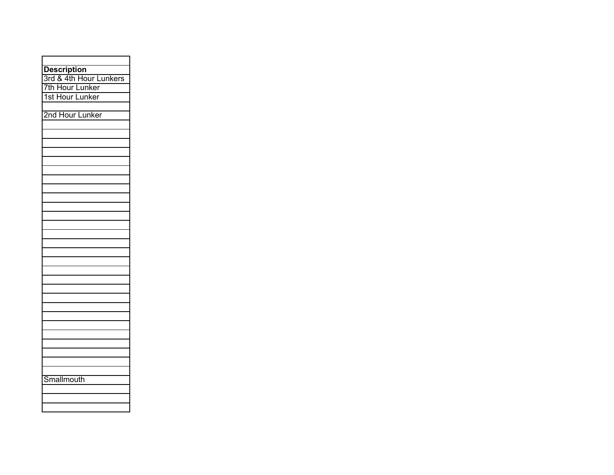| <b>Description</b>     |
|------------------------|
| 3rd & 4th Hour Lunkers |
| 7th Hour Lunker        |
| 1st Hour Lunker        |
|                        |
| 2nd Hour Lunker        |
|                        |
|                        |
|                        |
|                        |
|                        |
|                        |
|                        |
|                        |
|                        |
|                        |
|                        |
|                        |
|                        |
|                        |
|                        |
|                        |
|                        |
|                        |
|                        |
|                        |
|                        |
|                        |
|                        |
|                        |
|                        |
|                        |
|                        |
|                        |
|                        |
| Smallmouth             |
|                        |
|                        |
|                        |
|                        |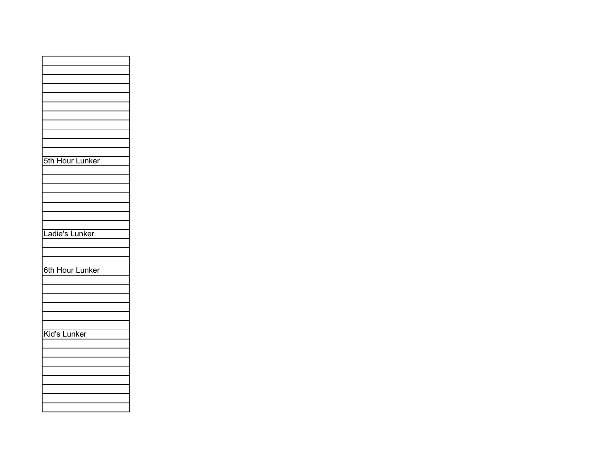| 5th Hour Lunker |
|-----------------|
|                 |
|                 |
|                 |
|                 |
|                 |
|                 |
|                 |
| Ladie's Lunker  |
|                 |
|                 |
|                 |
| 6th Hour Lunker |
|                 |
|                 |
|                 |
|                 |
|                 |
|                 |
| Kid's Lunker    |
|                 |
|                 |
|                 |
|                 |
|                 |
|                 |
|                 |
|                 |